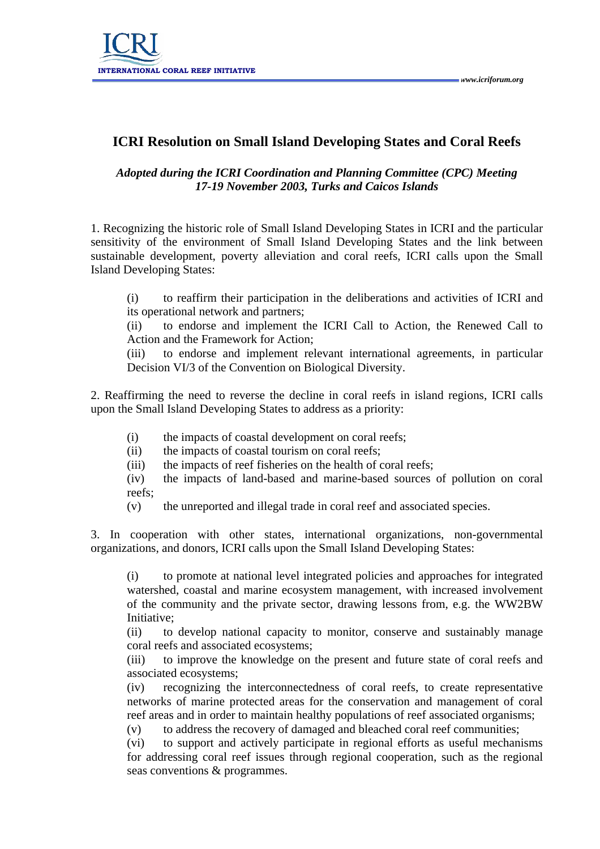## **ICRI Resolution on Small Island Developing States and Coral Reefs**

## *Adopted during the ICRI Coordination and Planning Committee (CPC) Meeting 17-19 November 2003, Turks and Caicos Islands*

1. Recognizing the historic role of Small Island Developing States in ICRI and the particular sensitivity of the environment of Small Island Developing States and the link between sustainable development, poverty alleviation and coral reefs, ICRI calls upon the Small Island Developing States:

(i) to reaffirm their participation in the deliberations and activities of ICRI and its operational network and partners;

(ii) to endorse and implement the ICRI Call to Action, the Renewed Call to Action and the Framework for Action;

(iii) to endorse and implement relevant international agreements, in particular Decision VI/3 of the Convention on Biological Diversity.

2. Reaffirming the need to reverse the decline in coral reefs in island regions, ICRI calls upon the Small Island Developing States to address as a priority:

- (i) the impacts of coastal development on coral reefs;
- (ii) the impacts of coastal tourism on coral reefs;
- (iii) the impacts of reef fisheries on the health of coral reefs;

(iv) the impacts of land-based and marine-based sources of pollution on coral reefs;

(v) the unreported and illegal trade in coral reef and associated species.

3. In cooperation with other states, international organizations, non-governmental organizations, and donors, ICRI calls upon the Small Island Developing States:

(i) to promote at national level integrated policies and approaches for integrated watershed, coastal and marine ecosystem management, with increased involvement of the community and the private sector, drawing lessons from, e.g. the WW2BW Initiative;

(ii) to develop national capacity to monitor, conserve and sustainably manage coral reefs and associated ecosystems;

(iii) to improve the knowledge on the present and future state of coral reefs and associated ecosystems;

(iv) recognizing the interconnectedness of coral reefs, to create representative networks of marine protected areas for the conservation and management of coral reef areas and in order to maintain healthy populations of reef associated organisms;

(v) to address the recovery of damaged and bleached coral reef communities;

(vi) to support and actively participate in regional efforts as useful mechanisms for addressing coral reef issues through regional cooperation, such as the regional seas conventions & programmes.